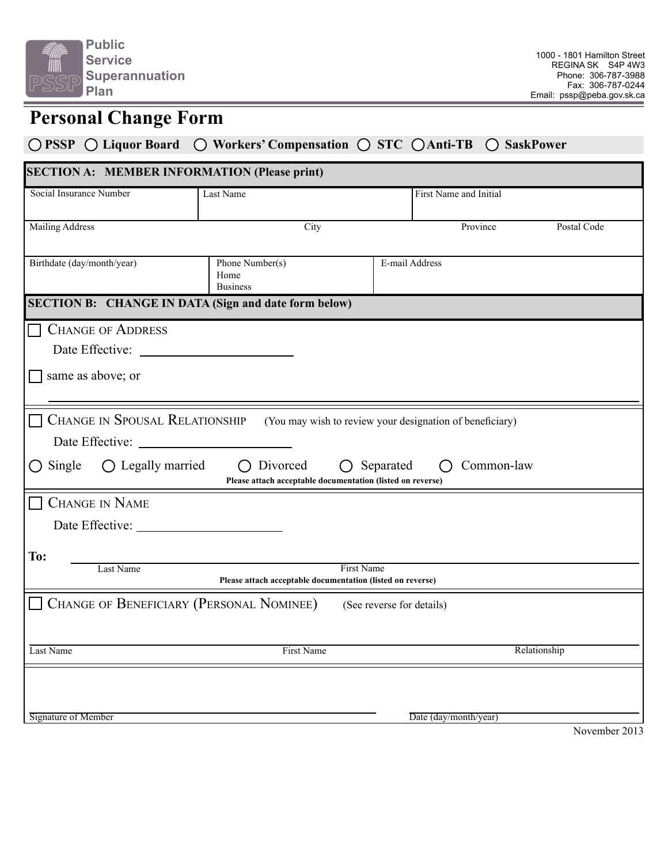

# **Personal Change Form**

### **PSSP Liquor Board Workers' Compensation STC Anti-TB SaskPower**

| <b>SECTION A: MEMBER INFORMATION (Please print)</b>                                                                                                                                                                                                                       |                                                              |                           |                        |             |
|---------------------------------------------------------------------------------------------------------------------------------------------------------------------------------------------------------------------------------------------------------------------------|--------------------------------------------------------------|---------------------------|------------------------|-------------|
| Social Insurance Number                                                                                                                                                                                                                                                   | Last Name                                                    |                           | First Name and Initial |             |
| <b>Mailing Address</b>                                                                                                                                                                                                                                                    | City                                                         |                           | Province               | Postal Code |
| Birthdate (day/month/year)                                                                                                                                                                                                                                                | E-mail Address<br>Phone Number(s)<br>Home<br><b>Business</b> |                           |                        |             |
| <b>SECTION B: CHANGE IN DATA (Sign and date form below)</b>                                                                                                                                                                                                               |                                                              |                           |                        |             |
| <b>CHANGE OF ADDRESS</b><br>same as above; or                                                                                                                                                                                                                             |                                                              |                           |                        |             |
| <b>CHANGE IN SPOUSAL RELATIONSHIP</b><br>(You may wish to review your designation of beneficiary)<br>$\bigcirc$ Legally married<br>Divorced<br>Single<br>$\bigcap$<br>Separated<br>Common-law<br>$\bigcirc$<br>Please attach acceptable documentation (listed on reverse) |                                                              |                           |                        |             |
| <b>CHANGE IN NAME</b><br>Date Effective:                                                                                                                                                                                                                                  |                                                              |                           |                        |             |
| To:<br>Last Name<br><b>First Name</b><br>Please attach acceptable documentation (listed on reverse)                                                                                                                                                                       |                                                              |                           |                        |             |
| CHANGE OF BENEFICIARY (PERSONAL NOMINEE)                                                                                                                                                                                                                                  |                                                              | (See reverse for details) |                        |             |
| Last Name                                                                                                                                                                                                                                                                 | First Name                                                   |                           | Relationship           |             |
| Signature of Member                                                                                                                                                                                                                                                       |                                                              |                           | Date (day/month/year)  |             |
| November 2013                                                                                                                                                                                                                                                             |                                                              |                           |                        |             |